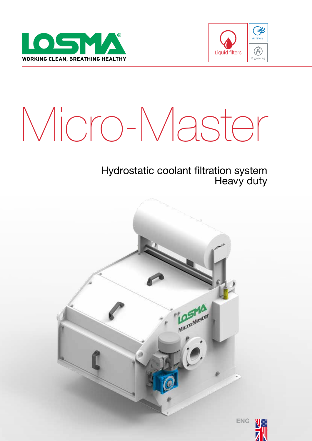



# Micro-Master

### Hydrostatic coolant filtration system Heavy duty



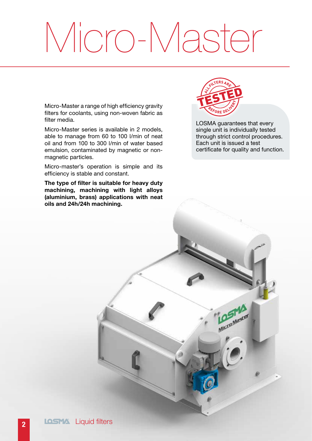## Micro-Master

Micro-Master a range of high efficiency gravity filters for coolants, using non-woven fabric as filter media.

Micro-Master series is available in 2 models, able to manage from 60 to 100 l/min of neat oil and from 100 to 300 l/min of water based emulsion, contaminated by magnetic or nonmagnetic particles.

Micro-master's operation is simple and its efficiency is stable and constant.

The type of filter is suitable for heavy duty machining, machining with light alloys (aluminium, brass) applications with neat oils and 24h/24h machining.



LOSMA guarantees that every single unit is individually tested through strict control procedures. Each unit is issued a test certificate for quality and function.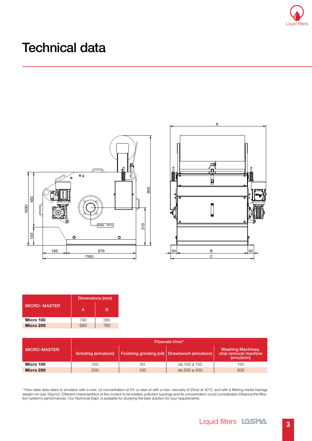

## Technical data



|        | А                                                         |    |
|--------|-----------------------------------------------------------|----|
| o<br>ø | a<br>c<br>$\overline{\bullet}$<br>$\overline{\mathbf{o}}$ |    |
| 뎩<br>Ħ | 回<br>m<br>$\bullet$<br>۰                                  | m  |
| 8      |                                                           | B  |
| 50     | $\overline{B}$<br>$\overline{C}$                          | 50 |

|                     | Dimensions (mm) |     |  |  |
|---------------------|-----------------|-----|--|--|
| <b>MICRO-MASTER</b> | А               | R   |  |  |
| Micro 100           | 790             | 580 |  |  |
| Micro 200           |                 | 780 |  |  |

|                     | Flowrate I/min*     |     |                                               |                                                                 |  |
|---------------------|---------------------|-----|-----------------------------------------------|-----------------------------------------------------------------|--|
| <b>MICRO-MASTER</b> | Grinding (emulsion) |     | Finishing grinding (oil) Drawbench (emulsion) | <b>Washing Machines,</b><br>chip removal machine,<br>(emulsion) |  |
| Micro 100           | 100                 | 60  | da 100 a 150                                  | 150                                                             |  |
| Micro 200           | 200                 | 100 | da 200 a 300                                  | 300                                                             |  |

\* Flow rates data refers to emulsion with a max. oil concentration of 5% or neat oil with a max. viscosity of 20cst at 40°C, and with a filtering media havinga weight not over 35g/m2. Different characteristics of the coolant to be treated, pollutant typology and its concentration could considerably influence the filtration system's performances. Our Technical Dept. is available for studying the best solution for your requirements.